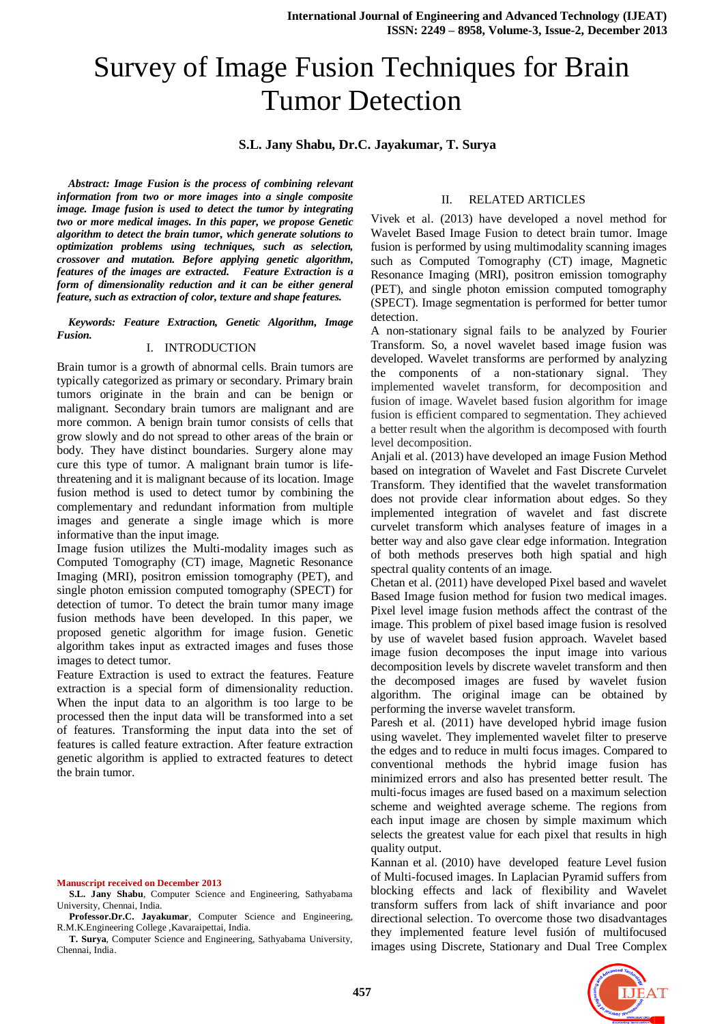# Survey of Image Fusion Techniques for Brain Tumor Detection

# **S.L. Jany Shabu, Dr.C. Jayakumar, T. Surya**

*Abstract: Image Fusion is the process of combining relevant information from two or more images into a single composite image. Image fusion is used to detect the tumor by integrating two or more medical images. In this paper, we propose Genetic algorithm to detect the brain tumor, which generate solutions to optimization problems using techniques, such as selection, crossover and [mutation.](http://en.wikipedia.org/wiki/Mutation_(genetic_algorithm)) Before applying genetic algorithm, features of the images are extracted. Feature Extraction is a form of dimensionality reduction and it can be either general feature, such as extraction of color, texture and shape features.*

*Keywords: Feature Extraction, Genetic Algorithm, Image Fusion.*

### I. INTRODUCTION

Brain tumor is a growth of abnormal cells. Brain tumors are typically categorized as primary or secondary. Primary brain tumors originate in the brain and can be benign or malignant. Secondary brain tumors are malignant and are more common. A benign brain tumor consists of cells that grow slowly and do not spread to other areas of the brain or body. They have distinct boundaries. Surgery alone may cure this type of tumor. A malignant brain tumor is lifethreatening and it is malignant because of its location. Image fusion method is used to detect tumor by combining the complementary and redundant information from multiple images and generate a single image which is more informative than the input image.

Image fusion utilizes the Multi-modality images such as Computed Tomography (CT) image, Magnetic Resonance Imaging (MRI), positron emission tomography (PET), and single photon emission computed tomography (SPECT) for detection of tumor. To detect the brain tumor many image fusion methods have been developed. In this paper, we proposed genetic algorithm for image fusion. Genetic algorithm takes input as extracted images and fuses those images to detect tumor.

Feature Extraction is used to extract the features. Feature extraction is a special form of [dimensionality reduction.](http://en.wikipedia.org/wiki/Dimensionality_reduction) When the input data to an [algorithm](http://en.wikipedia.org/wiki/Algorithm) is too large to be processed then the input data will be transformed into a set of features. Transforming the input data into the set of features is called feature extraction. After feature extraction genetic algorithm is applied to extracted features to detect the brain tumor.

#### **Manuscript received on December 2013**

**S.L. Jany Shabu**, Computer Science and Engineering, Sathyabama University, Chennai, India.

**Professor.Dr.C. Jayakumar**, Computer Science and Engineering, R.M.K.Engineering College ,Kavaraipettai, India.

**T. Surya**, Computer Science and Engineering, Sathyabama University, Chennai, India.

#### II. RELATED ARTICLES

Vivek et al. (2013) have developed a novel method for Wavelet Based Image Fusion to detect brain tumor. Image fusion is performed by using multimodality scanning images such as Computed Tomography (CT) image, Magnetic Resonance Imaging (MRI), positron emission tomography (PET), and single photon emission computed tomography (SPECT). Image segmentation is performed for better tumor detection.

A non-stationary signal fails to be analyzed by Fourier Transform. So, a novel wavelet based image fusion was developed. Wavelet transforms are performed by analyzing the components of a non-stationary signal. They implemented wavelet transform, for decomposition and fusion of image. Wavelet based fusion algorithm for image fusion is efficient compared to segmentation. They achieved a better result when the algorithm is decomposed with fourth level decomposition.

Anjali et al. (2013) have developed an image Fusion Method based on integration of Wavelet and Fast Discrete Curvelet Transform. They identified that the wavelet transformation does not provide clear information about edges. So they implemented integration of wavelet and fast discrete curvelet transform which analyses feature of images in a better way and also gave clear edge information. Integration of both methods preserves both high spatial and high spectral quality contents of an image.

Chetan et al. (2011) have developed Pixel based and wavelet Based Image fusion method for fusion two medical images. Pixel level image fusion methods affect the contrast of the image. This problem of pixel based image fusion is resolved by use of wavelet based fusion approach. Wavelet based image fusion decomposes the input image into various decomposition levels by discrete wavelet transform and then the decomposed images are fused by wavelet fusion algorithm. The original image can be obtained by performing the inverse wavelet transform.

Paresh et al. (2011) have developed hybrid image fusion using wavelet. They implemented wavelet filter to preserve the edges and to reduce in multi focus images. Compared to conventional methods the hybrid image fusion has minimized errors and also has presented better result. The multi-focus images are fused based on a maximum selection scheme and weighted average scheme. The regions from each input image are chosen by simple maximum which selects the greatest value for each pixel that results in high quality output.

Kannan et al. (2010) have developed feature Level fusion of Multi-focused images. In Laplacian Pyramid suffers from blocking effects and lack of flexibility and Wavelet transform suffers from lack of shift invariance and poor directional selection. To overcome those two disadvantages they implemented feature level fusión of multifocused images using Discrete, Stationary and Dual Tree Complex

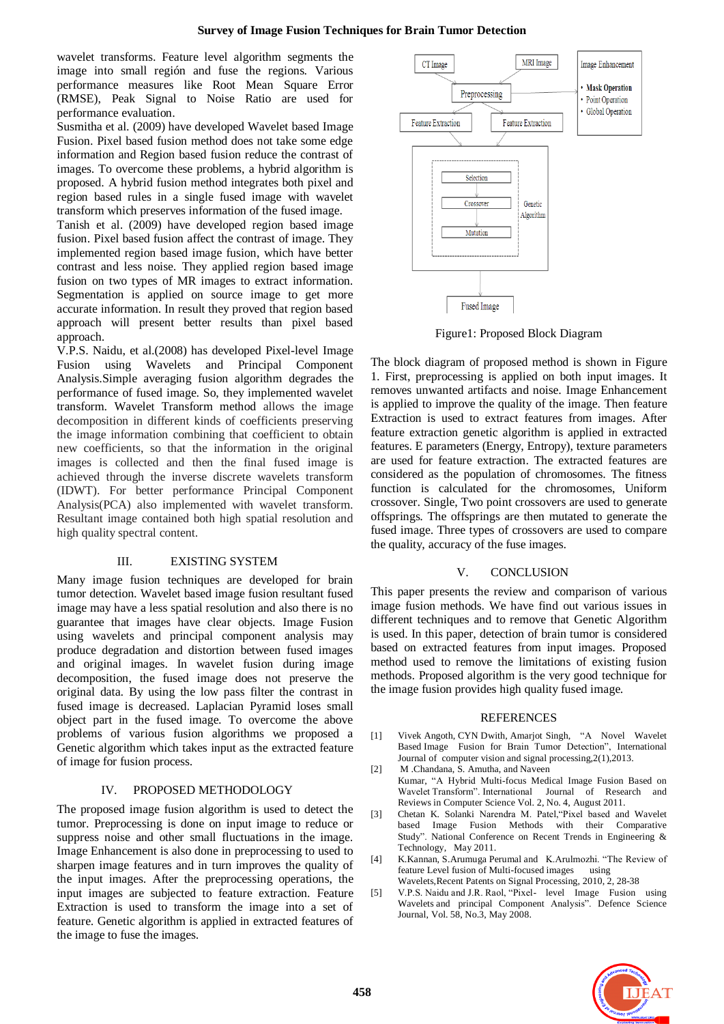wavelet transforms. Feature level algorithm segments the image into small región and fuse the regions. Various performance measures like Root Mean Square Error (RMSE), Peak Signal to Noise Ratio are used for performance evaluation.

Susmitha et al. (2009) have developed Wavelet based Image Fusion. Pixel based fusion method does not take some edge information and Region based fusion reduce the contrast of images. To overcome these problems, a hybrid algorithm is proposed. A hybrid fusion method integrates both pixel and region based rules in a single fused image with wavelet transform which preserves information of the fused image.

Tanish et al. (2009) have developed region based image fusion. Pixel based fusion affect the contrast of image. They implemented region based image fusion, which have better contrast and less noise. They applied region based image fusion on two types of MR images to extract information. Segmentation is applied on source image to get more accurate information. In result they proved that region based approach will present better results than pixel based approach.

V.P.S. Naidu, et al.(2008) has developed Pixel-level Image Fusion using Wavelets and Principal Component Analysis.Simple averaging fusion algorithm degrades the performance of fused image. So, they implemented wavelet transform. Wavelet Transform method allows the image decomposition in different kinds of coefficients preserving the image information combining that coefficient to obtain new coefficients, so that the information in the original images is collected and then the final fused image is achieved through the inverse discrete wavelets transform (IDWT). For better performance Principal Component Analysis(PCA) also implemented with wavelet transform. Resultant image contained both high spatial resolution and high quality spectral content.

## III. EXISTING SYSTEM

Many image fusion techniques are developed for brain tumor detection. Wavelet based image fusion resultant fused image may have a less spatial resolution and also there is no guarantee that images have clear objects. Image Fusion using wavelets and principal component analysis may produce degradation and distortion between fused images and original images. In wavelet fusion during image decomposition, the fused image does not preserve the original data. By using the low pass filter the contrast in fused image is decreased. Laplacian Pyramid loses small object part in the fused image. To overcome the above problems of various fusion algorithms we proposed a Genetic algorithm which takes input as the extracted feature of image for fusion process.

## IV. PROPOSED METHODOLOGY

The proposed image fusion algorithm is used to detect the tumor. Preprocessing is done on input image to reduce or suppress noise and other small fluctuations in the image. Image Enhancement is also done in preprocessing to used to sharpen image features and in turn improves the quality of the input images. After the preprocessing operations, the input images are subjected to feature extraction. Feature Extraction is used to transform the image into a set of feature. Genetic algorithm is applied in extracted features of the image to fuse the images.



Figure1: Proposed Block Diagram

The block diagram of proposed method is shown in Figure 1. First, preprocessing is applied on both input images. It removes unwanted artifacts and noise. Image Enhancement is applied to improve the quality of the image. Then feature Extraction is used to extract features from images. After feature extraction genetic algorithm is applied in extracted features. E parameters (Energy, Entropy), texture parameters are used for feature extraction. The extracted features are considered as the population of chromosomes. The fitness function is calculated for the chromosomes, Uniform crossover. Single, Two point crossovers are used to generate offsprings. The offsprings are then mutated to generate the fused image. Three types of crossovers are used to compare the quality, accuracy of the fuse images.

## V. CONCLUSION

This paper presents the review and comparison of various image fusion methods. We have find out various issues in different techniques and to remove that Genetic Algorithm is used. In this paper, detection of brain tumor is considered based on extracted features from input images. Proposed method used to remove the limitations of existing fusion methods. Proposed algorithm is the very good technique for the image fusion provides high quality fused image.

# **REFERENCES**

- [1] Vivek Angoth, CYN Dwith, Amarjot Singh, "A Novel Wavelet Based Image Fusion for Brain Tumor Detection", International Journal of computer vision and signal processing,2(1),2013.
- [2] M .Chandana, S. Amutha, and Naveen Kumar, "A Hybrid Multi-focus Medical Image Fusion Based on Wavelet Transform". International Journal of Research and Reviews in Computer Science Vol. 2, No. 4, August 2011.
- [3] Chetan K. Solanki Narendra M. Patel,"Pixel based and Wavelet based Image Fusion Methods with their Comparative Study". National Conference on Recent Trends in Engineering & Technology, May 2011.
- [4] K.Kannan, S.Arumuga Perumal and K.Arulmozhi. "The Review of feature Level fusion of Multi-focused images using Wavelets,Recent Patents on Signal Processing, 2010, 2, 28-38
- [5] V.P.S. Naidu and J.R. Raol, "Pixel- level Image Fusion using Wavelets and principal Component Analysis". Defence Science

Journal, Vol. 58, No.3, May 2008.